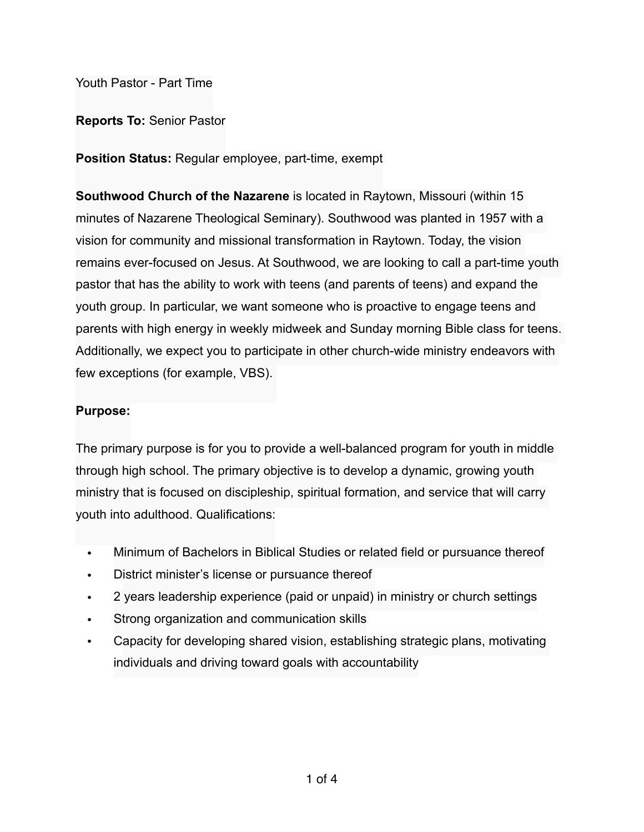Youth Pastor - Part Time

**Reports To:** Senior Pastor

**Position Status:** Regular employee, part-time, exempt

**Southwood Church of the Nazarene** is located in Raytown, Missouri (within 15 minutes of Nazarene Theological Seminary). Southwood was planted in 1957 with a vision for community and missional transformation in Raytown. Today, the vision remains ever-focused on Jesus. At Southwood, we are looking to call a part-time youth pastor that has the ability to work with teens (and parents of teens) and expand the youth group. In particular, we want someone who is proactive to engage teens and parents with high energy in weekly midweek and Sunday morning Bible class for teens. Additionally, we expect you to participate in other church-wide ministry endeavors with few exceptions (for example, VBS).

# **Purpose:**

The primary purpose is for you to provide a well-balanced program for youth in middle through high school. The primary objective is to develop a dynamic, growing youth ministry that is focused on discipleship, spiritual formation, and service that will carry youth into adulthood. Qualifications:

- Minimum of Bachelors in Biblical Studies or related field or pursuance thereof
- District minister's license or pursuance thereof
- 2 years leadership experience (paid or unpaid) in ministry or church settings
- Strong organization and communication skills
- Capacity for developing shared vision, establishing strategic plans, motivating individuals and driving toward goals with accountability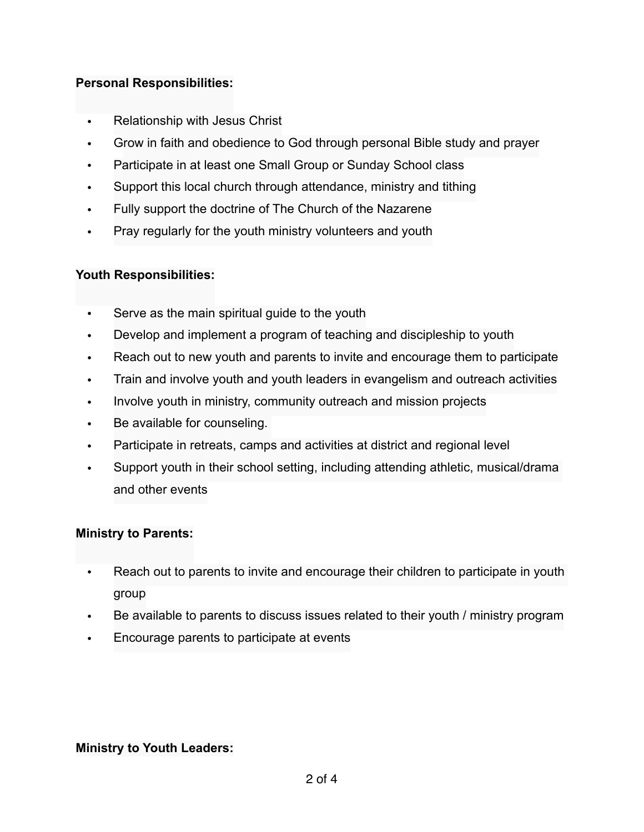### **Personal Responsibilities:**

- Relationship with Jesus Christ
- Grow in faith and obedience to God through personal Bible study and prayer
- Participate in at least one Small Group or Sunday School class
- Support this local church through attendance, ministry and tithing
- Fully support the doctrine of The Church of the Nazarene
- Pray regularly for the youth ministry volunteers and youth

# **Youth Responsibilities:**

- Serve as the main spiritual guide to the youth
- Develop and implement a program of teaching and discipleship to youth
- Reach out to new youth and parents to invite and encourage them to participate
- Train and involve youth and youth leaders in evangelism and outreach activities
- Involve youth in ministry, community outreach and mission projects
- Be available for counseling.
- Participate in retreats, camps and activities at district and regional level
- Support youth in their school setting, including attending athletic, musical/drama and other events

### **Ministry to Parents:**

- Reach out to parents to invite and encourage their children to participate in youth group
- Be available to parents to discuss issues related to their youth / ministry program
- Encourage parents to participate at events

### **Ministry to Youth Leaders:**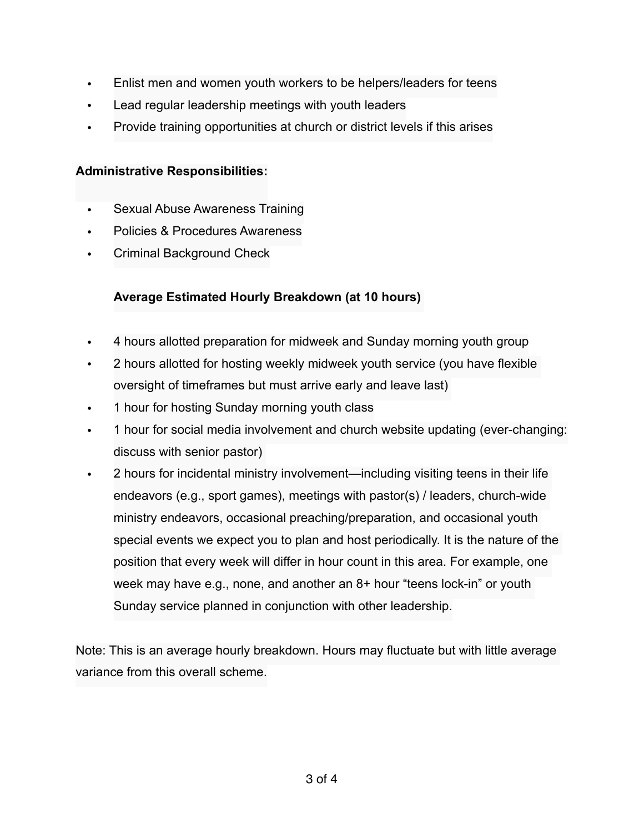- Enlist men and women youth workers to be helpers/leaders for teens
- Lead regular leadership meetings with youth leaders
- Provide training opportunities at church or district levels if this arises

#### **Administrative Responsibilities:**

- Sexual Abuse Awareness Training
- Policies & Procedures Awareness
- Criminal Background Check

# **Average Estimated Hourly Breakdown (at 10 hours)**

- 4 hours allotted preparation for midweek and Sunday morning youth group
- 2 hours allotted for hosting weekly midweek youth service (you have flexible oversight of timeframes but must arrive early and leave last)
- 1 hour for hosting Sunday morning youth class
- 1 hour for social media involvement and church website updating (ever-changing: discuss with senior pastor)
- 2 hours for incidental ministry involvement—including visiting teens in their life endeavors (e.g., sport games), meetings with pastor(s) / leaders, church-wide ministry endeavors, occasional preaching/preparation, and occasional youth special events we expect you to plan and host periodically. It is the nature of the position that every week will differ in hour count in this area. For example, one week may have e.g., none, and another an 8+ hour "teens lock-in" or youth Sunday service planned in conjunction with other leadership.

Note: This is an average hourly breakdown. Hours may fluctuate but with little average variance from this overall scheme.